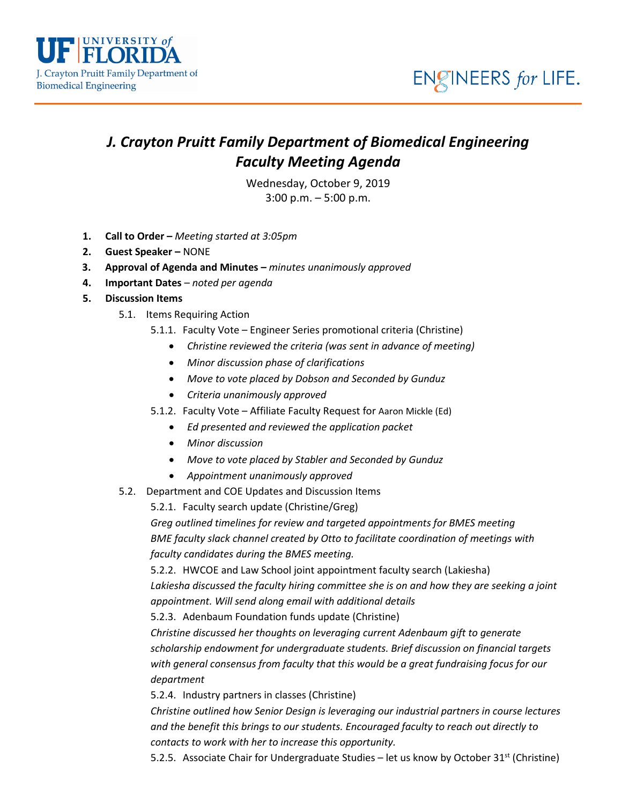

## *J. Crayton Pruitt Family Department of Biomedical Engineering Faculty Meeting Agenda*

Wednesday, October 9, 2019 3:00 p.m. – 5:00 p.m.

- **1. Call to Order –** *Meeting started at 3:05pm*
- **2. Guest Speaker –** NONE
- **3. Approval of Agenda and Minutes –** *minutes unanimously approved*
- **4. Important Dates** *noted per agenda*
- **5. Discussion Items**
	- 5.1. Items Requiring Action
		- 5.1.1. Faculty Vote Engineer Series promotional criteria (Christine)
			- *Christine reviewed the criteria (was sent in advance of meeting)*
			- *Minor discussion phase of clarifications*
			- *Move to vote placed by Dobson and Seconded by Gunduz*
			- *Criteria unanimously approved*
		- 5.1.2. Faculty Vote Affiliate Faculty Request for Aaron Mickle (Ed)
			- *Ed presented and reviewed the application packet*
			- *Minor discussion*
			- *Move to vote placed by Stabler and Seconded by Gunduz*
			- *Appointment unanimously approved*
	- 5.2. Department and COE Updates and Discussion Items

5.2.1. Faculty search update (Christine/Greg)

*Greg outlined timelines for review and targeted appointments for BMES meeting BME faculty slack channel created by Otto to facilitate coordination of meetings with faculty candidates during the BMES meeting.*

5.2.2. HWCOE and Law School joint appointment faculty search (Lakiesha) *Lakiesha discussed the faculty hiring committee she is on and how they are seeking a joint appointment. Will send along email with additional details*

5.2.3. Adenbaum Foundation funds update (Christine)

*Christine discussed her thoughts on leveraging current Adenbaum gift to generate scholarship endowment for undergraduate students. Brief discussion on financial targets with general consensus from faculty that this would be a great fundraising focus for our department*

5.2.4. Industry partners in classes (Christine)

*Christine outlined how Senior Design is leveraging our industrial partners in course lectures and the benefit this brings to our students. Encouraged faculty to reach out directly to contacts to work with her to increase this opportunity.* 

5.2.5. Associate Chair for Undergraduate Studies – let us know by October  $31^{st}$  (Christine)